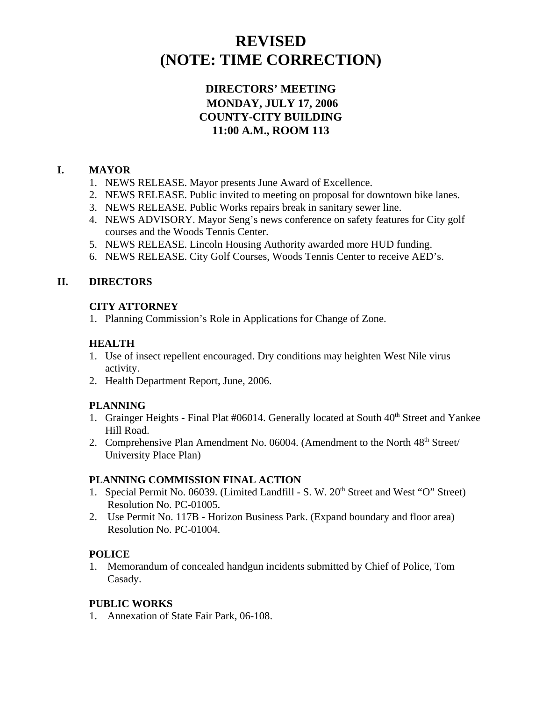# **REVISED (NOTE: TIME CORRECTION)**

# **DIRECTORS' MEETING MONDAY, JULY 17, 2006 COUNTY-CITY BUILDING 11:00 A.M., ROOM 113**

# **I. MAYOR**

- 1. NEWS RELEASE. Mayor presents June Award of Excellence.
- 2. NEWS RELEASE. Public invited to meeting on proposal for downtown bike lanes.
- 3. NEWS RELEASE. Public Works repairs break in sanitary sewer line.
- 4. NEWS ADVISORY. Mayor Seng's news conference on safety features for City golf courses and the Woods Tennis Center.
- 5. NEWS RELEASE. Lincoln Housing Authority awarded more HUD funding.
- 6. NEWS RELEASE. City Golf Courses, Woods Tennis Center to receive AED's.

# **II. DIRECTORS**

# **CITY ATTORNEY**

1. Planning Commission's Role in Applications for Change of Zone.

# **HEALTH**

- 1. Use of insect repellent encouraged. Dry conditions may heighten West Nile virus activity.
- 2. Health Department Report, June, 2006.

# **PLANNING**

- 1. Grainger Heights Final Plat #06014. Generally located at South 40<sup>th</sup> Street and Yankee Hill Road.
- 2. Comprehensive Plan Amendment No. 06004. (Amendment to the North  $48<sup>th</sup>$  Street/ University Place Plan)

# **PLANNING COMMISSION FINAL ACTION**

- 1. Special Permit No. 06039. (Limited Landfill S. W. 20<sup>th</sup> Street and West "O" Street) Resolution No. PC-01005.
- 2. Use Permit No. 117B Horizon Business Park. (Expand boundary and floor area) Resolution No. PC-01004.

# **POLICE**

1. Memorandum of concealed handgun incidents submitted by Chief of Police, Tom Casady.

# **PUBLIC WORKS**

1. Annexation of State Fair Park, 06-108.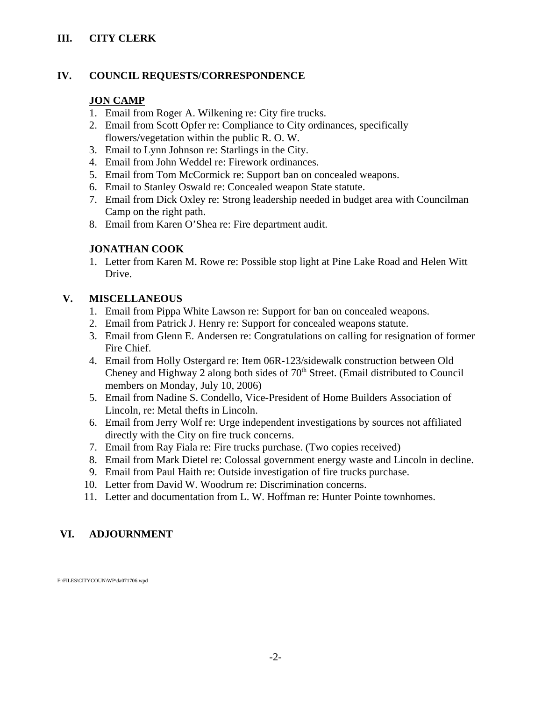# **III. CITY CLERK**

# **IV. COUNCIL REQUESTS/CORRESPONDENCE**

# **JON CAMP**

- 1. Email from Roger A. Wilkening re: City fire trucks.
- 2. Email from Scott Opfer re: Compliance to City ordinances, specifically flowers/vegetation within the public R. O. W.
- 3. Email to Lynn Johnson re: Starlings in the City.
- 4. Email from John Weddel re: Firework ordinances.
- 5. Email from Tom McCormick re: Support ban on concealed weapons.
- 6. Email to Stanley Oswald re: Concealed weapon State statute.
- 7. Email from Dick Oxley re: Strong leadership needed in budget area with Councilman Camp on the right path.
- 8. Email from Karen O'Shea re: Fire department audit.

# **JONATHAN COOK**

1. Letter from Karen M. Rowe re: Possible stop light at Pine Lake Road and Helen Witt Drive.

# **V. MISCELLANEOUS**

- 1. Email from Pippa White Lawson re: Support for ban on concealed weapons.
- 2. Email from Patrick J. Henry re: Support for concealed weapons statute.
- 3. Email from Glenn E. Andersen re: Congratulations on calling for resignation of former Fire Chief.
- 4. Email from Holly Ostergard re: Item 06R-123/sidewalk construction between Old Cheney and Highway 2 along both sides of  $70<sup>th</sup>$  Street. (Email distributed to Council members on Monday, July 10, 2006)
- 5. Email from Nadine S. Condello, Vice-President of Home Builders Association of Lincoln, re: Metal thefts in Lincoln.
- 6. Email from Jerry Wolf re: Urge independent investigations by sources not affiliated directly with the City on fire truck concerns.
- 7. Email from Ray Fiala re: Fire trucks purchase. (Two copies received)
- 8. Email from Mark Dietel re: Colossal government energy waste and Lincoln in decline.
- 9. Email from Paul Haith re: Outside investigation of fire trucks purchase.
- 10. Letter from David W. Woodrum re: Discrimination concerns.
- 11. Letter and documentation from L. W. Hoffman re: Hunter Pointe townhomes.

# **VI. ADJOURNMENT**

F:\FILES\CITYCOUN\WP\da071706.wpd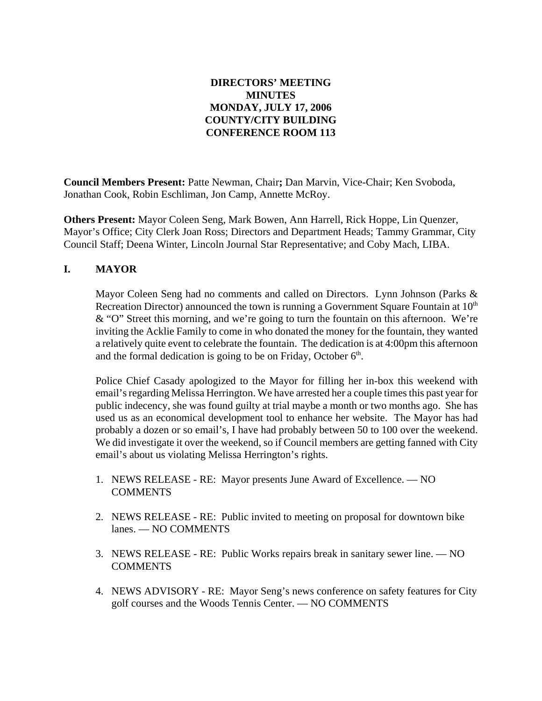# **DIRECTORS' MEETING MINUTES MONDAY, JULY 17, 2006 COUNTY/CITY BUILDING CONFERENCE ROOM 113**

**Council Members Present:** Patte Newman, Chair**;** Dan Marvin, Vice-Chair; Ken Svoboda, Jonathan Cook, Robin Eschliman, Jon Camp, Annette McRoy.

**Others Present:** Mayor Coleen Seng, Mark Bowen, Ann Harrell, Rick Hoppe, Lin Quenzer, Mayor's Office; City Clerk Joan Ross; Directors and Department Heads; Tammy Grammar, City Council Staff; Deena Winter, Lincoln Journal Star Representative; and Coby Mach, LIBA.

# **I. MAYOR**

Mayor Coleen Seng had no comments and called on Directors. Lynn Johnson (Parks  $\&$ Recreation Director) announced the town is running a Government Square Fountain at  $10<sup>th</sup>$ & "O" Street this morning, and we're going to turn the fountain on this afternoon. We're inviting the Acklie Family to come in who donated the money for the fountain, they wanted a relatively quite event to celebrate the fountain. The dedication is at 4:00pm this afternoon and the formal dedication is going to be on Friday, October  $6<sup>th</sup>$ .

Police Chief Casady apologized to the Mayor for filling her in-box this weekend with email's regarding Melissa Herrington. We have arrested her a couple times this past year for public indecency, she was found guilty at trial maybe a month or two months ago. She has used us as an economical development tool to enhance her website. The Mayor has had probably a dozen or so email's, I have had probably between 50 to 100 over the weekend. We did investigate it over the weekend, so if Council members are getting fanned with City email's about us violating Melissa Herrington's rights.

- 1. NEWS RELEASE RE: Mayor presents June Award of Excellence. NO **COMMENTS**
- 2. NEWS RELEASE RE: Public invited to meeting on proposal for downtown bike lanes. — NO COMMENTS
- 3. NEWS RELEASE RE: Public Works repairs break in sanitary sewer line. NO **COMMENTS**
- 4. NEWS ADVISORY RE: Mayor Seng's news conference on safety features for City golf courses and the Woods Tennis Center. — NO COMMENTS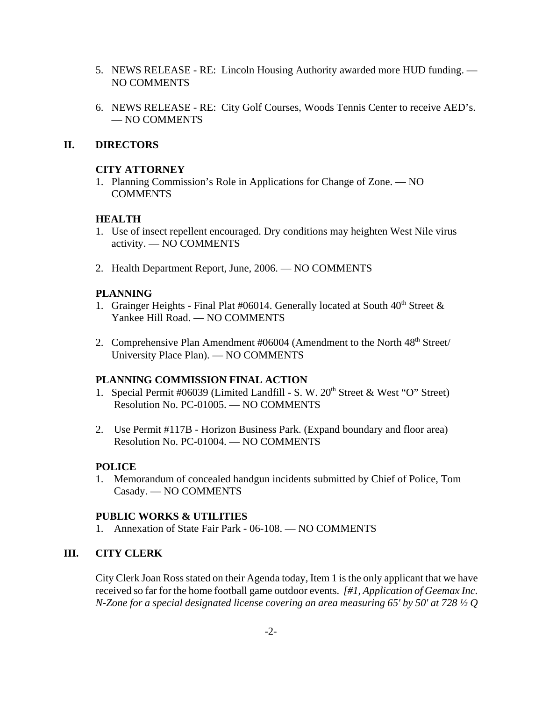- 5. NEWS RELEASE RE: Lincoln Housing Authority awarded more HUD funding. NO COMMENTS
- 6. NEWS RELEASE RE: City Golf Courses, Woods Tennis Center to receive AED's. — NO COMMENTS

### **II. DIRECTORS**

### **CITY ATTORNEY**

1. Planning Commission's Role in Applications for Change of Zone. — NO COMMENTS

### **HEALTH**

- 1. Use of insect repellent encouraged. Dry conditions may heighten West Nile virus activity. — NO COMMENTS
- 2. Health Department Report, June, 2006. NO COMMENTS

### **PLANNING**

- 1. Grainger Heights Final Plat #06014. Generally located at South  $40<sup>th</sup>$  Street & Yankee Hill Road. — NO COMMENTS
- 2. Comprehensive Plan Amendment #06004 (Amendment to the North 48<sup>th</sup> Street/ University Place Plan). — NO COMMENTS

#### **PLANNING COMMISSION FINAL ACTION**

- 1. Special Permit #06039 (Limited Landfill S. W. 20<sup>th</sup> Street & West "O" Street) Resolution No. PC-01005. — NO COMMENTS
- 2. Use Permit #117B Horizon Business Park. (Expand boundary and floor area) Resolution No. PC-01004. — NO COMMENTS

### **POLICE**

1. Memorandum of concealed handgun incidents submitted by Chief of Police, Tom Casady. — NO COMMENTS

### **PUBLIC WORKS & UTILITIES**

1. Annexation of State Fair Park - 06-108. — NO COMMENTS

### **III. CITY CLERK**

City Clerk Joan Ross stated on their Agenda today, Item 1 is the only applicant that we have received so far for the home football game outdoor events. *[#1, Application of Geemax Inc. N-Zone for a special designated license covering an area measuring 65' by 50' at 728 ½ Q*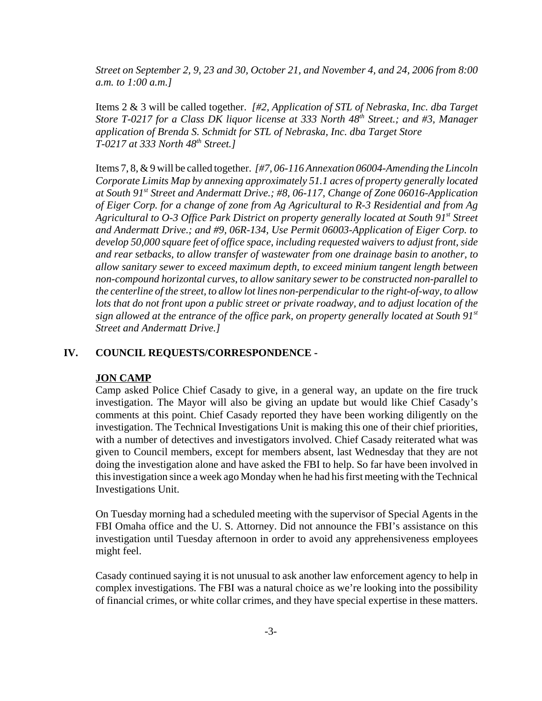*Street on September 2, 9, 23 and 30, October 21, and November 4, and 24, 2006 from 8:00 a.m. to 1:00 a.m.]* 

Items 2 & 3 will be called together. *[#2, Application of STL of Nebraska, Inc. dba Target Store T-0217 for a Class DK liquor license at 333 North 48<sup>th</sup> Street.; and #3, Manager application of Brenda S. Schmidt for STL of Nebraska, Inc. dba Target Store T-0217 at 333 North 48th Street.]* 

Items 7, 8, & 9 will be called together. *[#7, 06-116 Annexation 06004-Amending the Lincoln Corporate Limits Map by annexing approximately 51.1 acres of property generally located at South 91st Street and Andermatt Drive.; #8, 06-117, Change of Zone 06016-Application of Eiger Corp. for a change of zone from Ag Agricultural to R-3 Residential and from Ag Agricultural to O-3 Office Park District on property generally located at South 91st Street and Andermatt Drive.; and #9, 06R-134, Use Permit 06003-Application of Eiger Corp. to develop 50,000 square feet of office space, including requested waivers to adjust front, side and rear setbacks, to allow transfer of wastewater from one drainage basin to another, to allow sanitary sewer to exceed maximum depth, to exceed minium tangent length between non-compound horizontal curves, to allow sanitary sewer to be constructed non-parallel to the centerline of the street, to allow lot lines non-perpendicular to the right-of-way, to allow lots that do not front upon a public street or private roadway, and to adjust location of the sign allowed at the entrance of the office park, on property generally located at South 91st Street and Andermatt Drive.]* 

#### **IV. COUNCIL REQUESTS/CORRESPONDENCE -**

#### **JON CAMP**

Camp asked Police Chief Casady to give, in a general way, an update on the fire truck investigation. The Mayor will also be giving an update but would like Chief Casady's comments at this point. Chief Casady reported they have been working diligently on the investigation. The Technical Investigations Unit is making this one of their chief priorities, with a number of detectives and investigators involved. Chief Casady reiterated what was given to Council members, except for members absent, last Wednesday that they are not doing the investigation alone and have asked the FBI to help. So far have been involved in this investigation since a week ago Monday when he had his first meeting with the Technical Investigations Unit.

On Tuesday morning had a scheduled meeting with the supervisor of Special Agents in the FBI Omaha office and the U. S. Attorney. Did not announce the FBI's assistance on this investigation until Tuesday afternoon in order to avoid any apprehensiveness employees might feel.

Casady continued saying it is not unusual to ask another law enforcement agency to help in complex investigations. The FBI was a natural choice as we're looking into the possibility of financial crimes, or white collar crimes, and they have special expertise in these matters.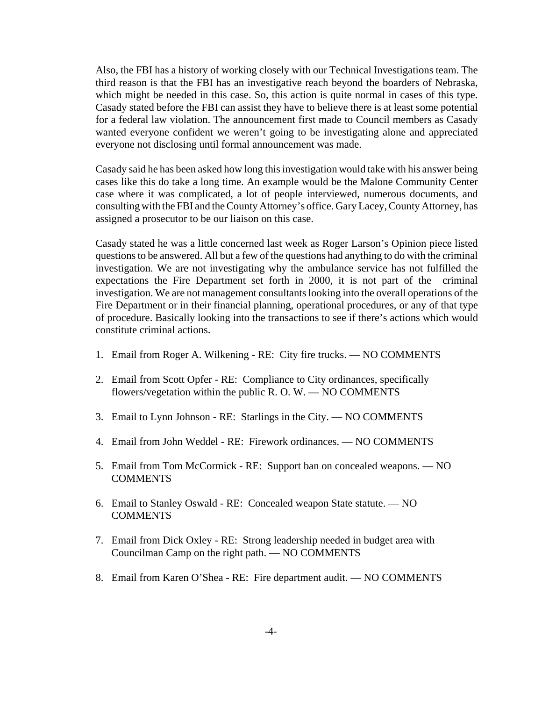Also, the FBI has a history of working closely with our Technical Investigations team. The third reason is that the FBI has an investigative reach beyond the boarders of Nebraska, which might be needed in this case. So, this action is quite normal in cases of this type. Casady stated before the FBI can assist they have to believe there is at least some potential for a federal law violation. The announcement first made to Council members as Casady wanted everyone confident we weren't going to be investigating alone and appreciated everyone not disclosing until formal announcement was made.

Casady said he has been asked how long this investigation would take with his answer being cases like this do take a long time. An example would be the Malone Community Center case where it was complicated, a lot of people interviewed, numerous documents, and consulting with the FBI and the County Attorney's office. Gary Lacey, County Attorney, has assigned a prosecutor to be our liaison on this case.

Casady stated he was a little concerned last week as Roger Larson's Opinion piece listed questions to be answered. All but a few of the questions had anything to do with the criminal investigation. We are not investigating why the ambulance service has not fulfilled the expectations the Fire Department set forth in 2000, it is not part of the criminal investigation. We are not management consultants looking into the overall operations of the Fire Department or in their financial planning, operational procedures, or any of that type of procedure. Basically looking into the transactions to see if there's actions which would constitute criminal actions.

- 1. Email from Roger A. Wilkening RE: City fire trucks. NO COMMENTS
- 2. Email from Scott Opfer RE: Compliance to City ordinances, specifically flowers/vegetation within the public R. O. W. — NO COMMENTS
- 3. Email to Lynn Johnson RE: Starlings in the City. NO COMMENTS
- 4. Email from John Weddel RE: Firework ordinances. NO COMMENTS
- 5. Email from Tom McCormick RE: Support ban on concealed weapons. NO **COMMENTS**
- 6. Email to Stanley Oswald RE: Concealed weapon State statute. NO **COMMENTS**
- 7. Email from Dick Oxley RE: Strong leadership needed in budget area with Councilman Camp on the right path. — NO COMMENTS
- 8. Email from Karen O'Shea RE: Fire department audit. NO COMMENTS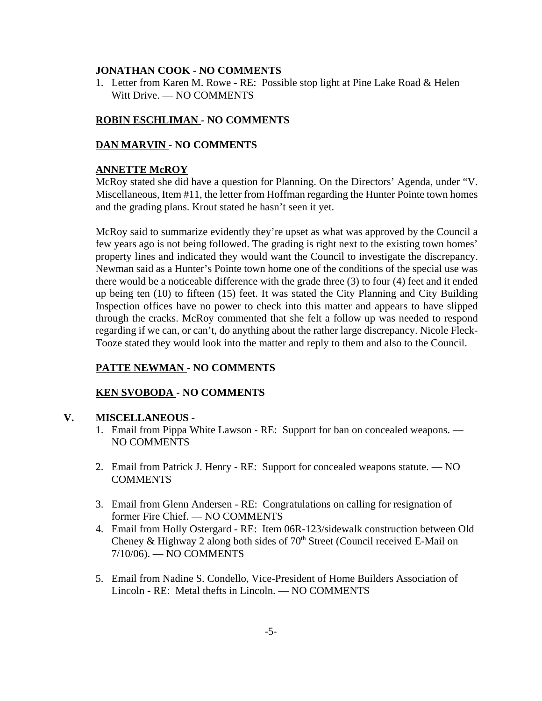### **JONATHAN COOK - NO COMMENTS**

1. Letter from Karen M. Rowe - RE: Possible stop light at Pine Lake Road & Helen Witt Drive. — NO COMMENTS

### **ROBIN ESCHLIMAN - NO COMMENTS**

### **DAN MARVIN - NO COMMENTS**

#### **ANNETTE McROY**

McRoy stated she did have a question for Planning. On the Directors' Agenda, under "V. Miscellaneous, Item #11, the letter from Hoffman regarding the Hunter Pointe town homes and the grading plans. Krout stated he hasn't seen it yet.

McRoy said to summarize evidently they're upset as what was approved by the Council a few years ago is not being followed. The grading is right next to the existing town homes' property lines and indicated they would want the Council to investigate the discrepancy. Newman said as a Hunter's Pointe town home one of the conditions of the special use was there would be a noticeable difference with the grade three (3) to four (4) feet and it ended up being ten (10) to fifteen (15) feet. It was stated the City Planning and City Building Inspection offices have no power to check into this matter and appears to have slipped through the cracks. McRoy commented that she felt a follow up was needed to respond regarding if we can, or can't, do anything about the rather large discrepancy. Nicole Fleck-Tooze stated they would look into the matter and reply to them and also to the Council.

# **PATTE NEWMAN - NO COMMENTS**

### **KEN SVOBODA - NO COMMENTS**

#### **V. MISCELLANEOUS -**

- 1. Email from Pippa White Lawson RE: Support for ban on concealed weapons. NO COMMENTS
- 2. Email from Patrick J. Henry RE: Support for concealed weapons statute. NO **COMMENTS**
- 3. Email from Glenn Andersen RE: Congratulations on calling for resignation of former Fire Chief. — NO COMMENTS
- 4. Email from Holly Ostergard RE: Item 06R-123/sidewalk construction between Old Cheney & Highway 2 along both sides of  $70<sup>th</sup>$  Street (Council received E-Mail on 7/10/06). — NO COMMENTS
- 5. Email from Nadine S. Condello, Vice-President of Home Builders Association of Lincoln - RE: Metal thefts in Lincoln. — NO COMMENTS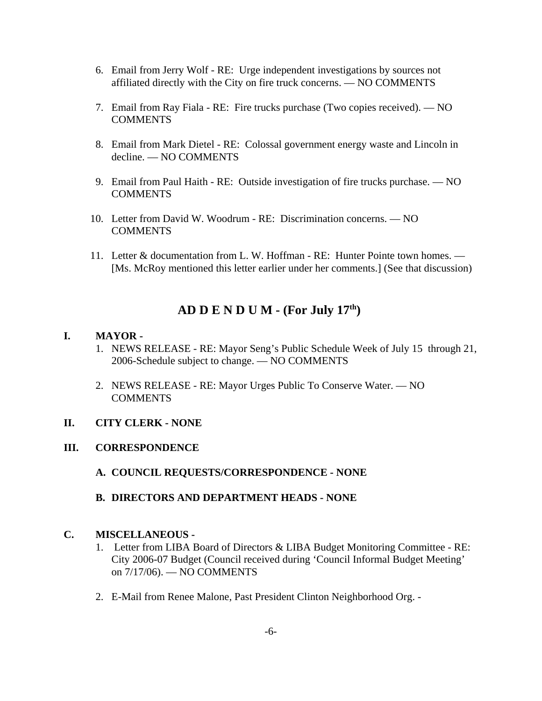- 6. Email from Jerry Wolf RE: Urge independent investigations by sources not affiliated directly with the City on fire truck concerns. — NO COMMENTS
- 7. Email from Ray Fiala RE: Fire trucks purchase (Two copies received). NO COMMENTS
- 8. Email from Mark Dietel RE: Colossal government energy waste and Lincoln in decline. — NO COMMENTS
- 9. Email from Paul Haith RE: Outside investigation of fire trucks purchase. NO COMMENTS
- 10. Letter from David W. Woodrum RE: Discrimination concerns. NO **COMMENTS**
- 11. Letter & documentation from L. W. Hoffman RE: Hunter Pointe town homes. [Ms. McRoy mentioned this letter earlier under her comments.] (See that discussion)

# **AD D E N D U M - (For July 17th)**

### **I. MAYOR -**

- 1. NEWS RELEASE RE: Mayor Seng's Public Schedule Week of July 15 through 21, 2006-Schedule subject to change. — NO COMMENTS
- 2. NEWS RELEASE RE: Mayor Urges Public To Conserve Water. NO COMMENTS

# **II. CITY CLERK - NONE**

# **III. CORRESPONDENCE**

- **A. COUNCIL REQUESTS/CORRESPONDENCE NONE**
- **B. DIRECTORS AND DEPARTMENT HEADS NONE**

# **C. MISCELLANEOUS -**

- 1. Letter from LIBA Board of Directors & LIBA Budget Monitoring Committee RE: City 2006-07 Budget (Council received during 'Council Informal Budget Meeting' on 7/17/06). — NO COMMENTS
- 2. E-Mail from Renee Malone, Past President Clinton Neighborhood Org. -